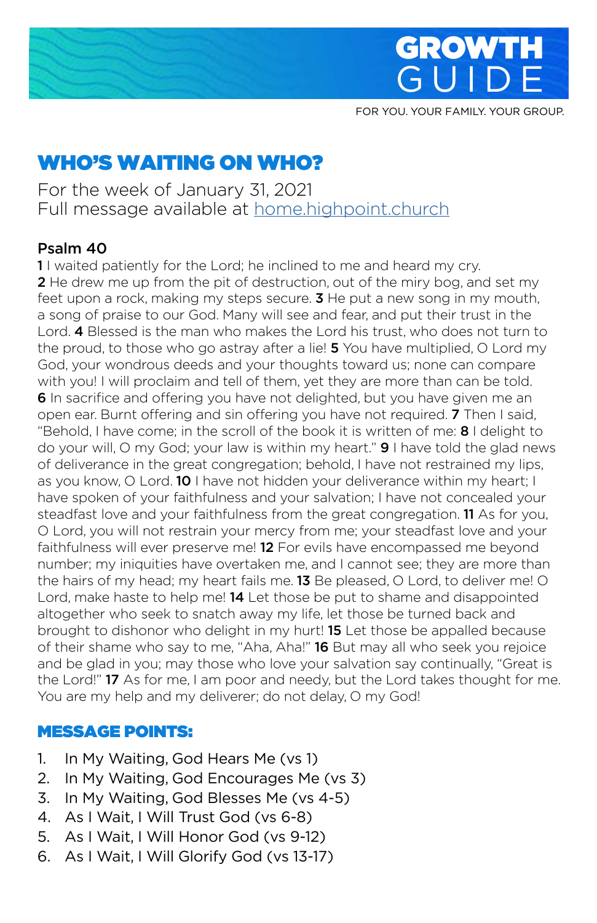



FOR YOU. YOUR FAMILY. YOUR GROUP.

# WHO'S WAITING ON WHO?

For the week of January 31, 2021 Full message available at home.highpoint.church

### Psalm 40

11 waited patiently for the Lord; he inclined to me and heard my cry. 2 He drew me up from the pit of destruction, out of the miry bog, and set my feet upon a rock, making my steps secure. **3** He put a new song in my mouth, a song of praise to our God. Many will see and fear, and put their trust in the Lord. 4 Blessed is the man who makes the Lord his trust, who does not turn to the proud, to those who go astray after a lie! **5** You have multiplied, O Lord my God, your wondrous deeds and your thoughts toward us; none can compare with you! I will proclaim and tell of them, yet they are more than can be told. **6** In sacrifice and offering you have not delighted, but you have given me an open ear. Burnt offering and sin offering you have not required. **7** Then I said, "Behold, I have come; in the scroll of the book it is written of me: 8 I delight to do your will, O my God; your law is within my heart." 9 I have told the glad news of deliverance in the great congregation; behold, I have not restrained my lips, as you know, O Lord. 10 I have not hidden your deliverance within my heart; I have spoken of your faithfulness and your salvation; I have not concealed your steadfast love and your faithfulness from the great congregation. **11** As for you, O Lord, you will not restrain your mercy from me; your steadfast love and your faithfulness will ever preserve me! **12** For evils have encompassed me beyond number; my iniquities have overtaken me, and I cannot see; they are more than the hairs of my head; my heart fails me. 13 Be pleased, O Lord, to deliver me! O Lord, make haste to help me! 14 Let those be put to shame and disappointed altogether who seek to snatch away my life, let those be turned back and brought to dishonor who delight in my hurt! **15** Let those be appalled because of their shame who say to me, "Aha, Aha!" 16 But may all who seek you rejoice and be glad in you; may those who love your salvation say continually, "Great is the Lord!" 17 As for me, I am poor and needy, but the Lord takes thought for me. You are my help and my deliverer; do not delay, O my God!

#### MESSAGE POINTS:

- 1. In My Waiting, God Hears Me (vs 1)
- 2. In My Waiting, God Encourages Me (vs 3)
- 3. In My Waiting, God Blesses Me (vs 4-5)
- 4. As I Wait, I Will Trust God (vs 6-8)
- 5. As I Wait, I Will Honor God (vs 9-12)
- 6. As I Wait, I Will Glorify God (vs 13-17)